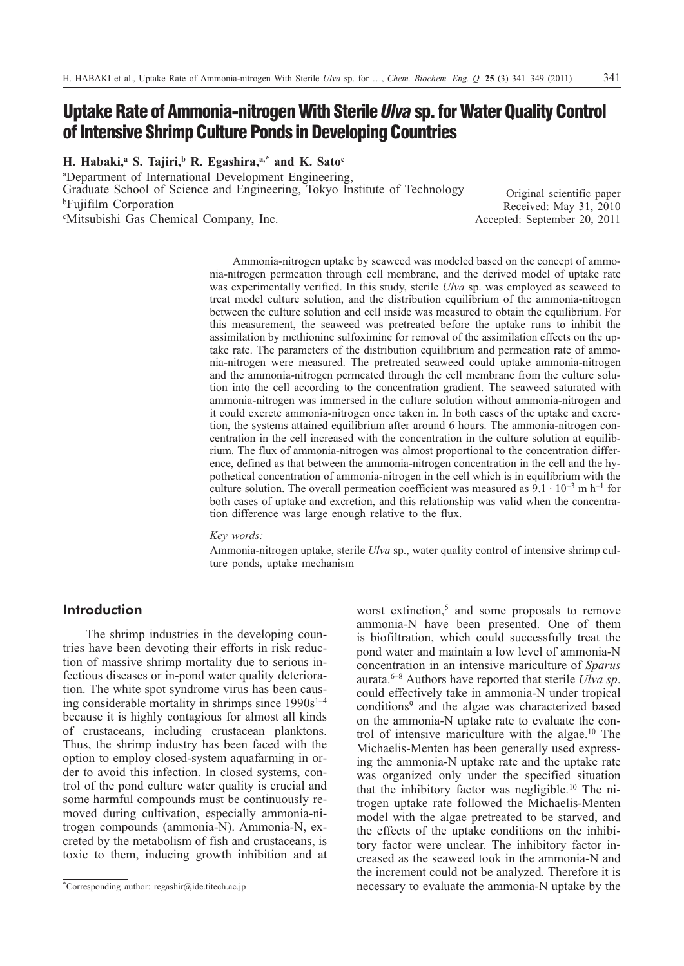# **Uptake Rate of Ammonia-nitrogen With Sterile** *Ulva* **sp. for Water Quality Control** of Intensive Shrimp Culture Ponds in Developing Countries

**H. Habaki,a S. Tajiri,b R. Egashira,a,\* and K. Satoc**

a Department of International Development Engineering, Graduate School of Science and Engineering, Tokyo Institute of Technology bFujifilm Corporation c Mitsubishi Gas Chemical Company, Inc.

Original scientific paper Received: May 31, 2010 Accepted: September 20, 2011

Ammonia-nitrogen uptake by seaweed was modeled based on the concept of ammonia-nitrogen permeation through cell membrane, and the derived model of uptake rate was experimentally verified. In this study, sterile *Ulva* sp. was employed as seaweed to treat model culture solution, and the distribution equilibrium of the ammonia-nitrogen between the culture solution and cell inside was measured to obtain the equilibrium. For this measurement, the seaweed was pretreated before the uptake runs to inhibit the assimilation by methionine sulfoximine for removal of the assimilation effects on the uptake rate. The parameters of the distribution equilibrium and permeation rate of ammonia-nitrogen were measured. The pretreated seaweed could uptake ammonia-nitrogen and the ammonia-nitrogen permeated through the cell membrane from the culture solution into the cell according to the concentration gradient. The seaweed saturated with ammonia-nitrogen was immersed in the culture solution without ammonia-nitrogen and it could excrete ammonia-nitrogen once taken in. In both cases of the uptake and excretion, the systems attained equilibrium after around 6 hours. The ammonia-nitrogen concentration in the cell increased with the concentration in the culture solution at equilibrium. The flux of ammonia-nitrogen was almost proportional to the concentration difference, defined as that between the ammonia-nitrogen concentration in the cell and the hypothetical concentration of ammonia-nitrogen in the cell which is in equilibrium with the culture solution. The overall permeation coefficient was measured as  $9.1 \cdot 10^{-3}$  m h<sup>-1</sup> for both cases of uptake and excretion, and this relationship was valid when the concentration difference was large enough relative to the flux.

## *Key words:*

Ammonia-nitrogen uptake, sterile *Ulva* sp., water quality control of intensive shrimp culture ponds, uptake mechanism

# **Introduction**

The shrimp industries in the developing countries have been devoting their efforts in risk reduction of massive shrimp mortality due to serious infectious diseases or in-pond water quality deterioration. The white spot syndrome virus has been causing considerable mortality in shrimps since  $1990s^{1-4}$ because it is highly contagious for almost all kinds of crustaceans, including crustacean planktons. Thus, the shrimp industry has been faced with the option to employ closed-system aquafarming in order to avoid this infection. In closed systems, control of the pond culture water quality is crucial and some harmful compounds must be continuously removed during cultivation, especially ammonia-nitrogen compounds (ammonia-N). Ammonia-N, excreted by the metabolism of fish and crustaceans, is toxic to them, inducing growth inhibition and at

worst extinction, $5$  and some proposals to remove ammonia-N have been presented. One of them is biofiltration, which could successfully treat the pond water and maintain a low level of ammonia-N concentration in an intensive mariculture of *Sparus* aurata.6–8 Authors have reported that sterile *Ulva sp*. could effectively take in ammonia-N under tropical conditions9 and the algae was characterized based on the ammonia-N uptake rate to evaluate the control of intensive mariculture with the algae.10 The Michaelis-Menten has been generally used expressing the ammonia-N uptake rate and the uptake rate was organized only under the specified situation that the inhibitory factor was negligible.10 The nitrogen uptake rate followed the Michaelis-Menten model with the algae pretreated to be starved, and the effects of the uptake conditions on the inhibitory factor were unclear. The inhibitory factor increased as the seaweed took in the ammonia-N and the increment could not be analyzed. Therefore it is necessary to evaluate the ammonia-N uptake by the

<sup>\*</sup>Corresponding author: regashir@ide.titech.ac.jp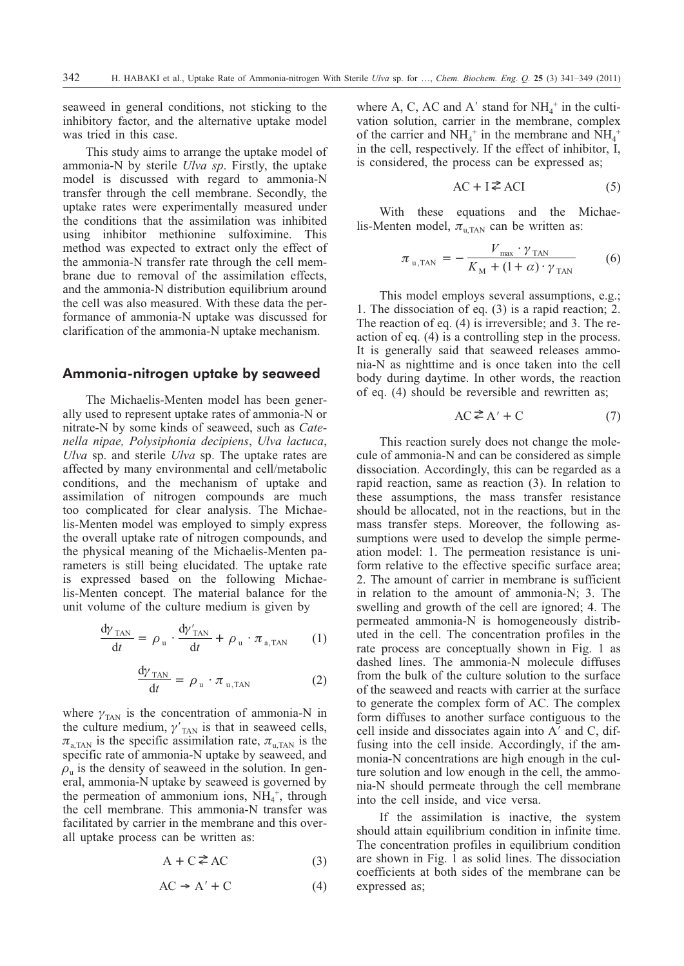seaweed in general conditions, not sticking to the inhibitory factor, and the alternative uptake model was tried in this case.

This study aims to arrange the uptake model of ammonia-N by sterile *Ulva sp*. Firstly, the uptake model is discussed with regard to ammonia-N transfer through the cell membrane. Secondly, the uptake rates were experimentally measured under the conditions that the assimilation was inhibited using inhibitor methionine sulfoximine. This method was expected to extract only the effect of the ammonia-N transfer rate through the cell membrane due to removal of the assimilation effects, and the ammonia-N distribution equilibrium around the cell was also measured. With these data the performance of ammonia-N uptake was discussed for clarification of the ammonia-N uptake mechanism.

## **Ammonia-nitrogen uptake by seaweed**

The Michaelis-Menten model has been generally used to represent uptake rates of ammonia-N or nitrate-N by some kinds of seaweed, such as *Catenella nipae, Polysiphonia decipiens*, *Ulva lactuca*, *Ulva* sp. and sterile *Ulva* sp. The uptake rates are affected by many environmental and cell/metabolic conditions, and the mechanism of uptake and assimilation of nitrogen compounds are much too complicated for clear analysis. The Michaelis-Menten model was employed to simply express the overall uptake rate of nitrogen compounds, and the physical meaning of the Michaelis-Menten parameters is still being elucidated. The uptake rate is expressed based on the following Michaelis-Menten concept. The material balance for the unit volume of the culture medium is given by

$$
\frac{d\gamma_{TAN}}{dt} = \rho_u \cdot \frac{d\gamma'_{TAN}}{dt} + \rho_u \cdot \pi_{a,TAN} \qquad (1)
$$

$$
\frac{d\gamma_{\text{TAN}}}{dt} = \rho_{\text{u}} \cdot \pi_{\text{u},\text{TAN}} \tag{2}
$$

where  $\gamma_{\text{TAN}}$  is the concentration of ammonia-N in the culture medium,  $\gamma'_{\text{TAN}}$  is that in seaweed cells,  $\pi_{\text{a,TAN}}$  is the specific assimilation rate,  $\pi_{\text{u,TAN}}$  is the specific rate of ammonia-N uptake by seaweed, and  $\rho_n$  is the density of seaweed in the solution. In general, ammonia-N uptake by seaweed is governed by the permeation of ammonium ions,  $NH<sub>4</sub><sup>+</sup>$ , through the cell membrane. This ammonia-N transfer was facilitated by carrier in the membrane and this overall uptake process can be written as:

$$
A + C \stackrel{\geq}{\leq} AC \tag{3}
$$

$$
AC \to A' + C \tag{4}
$$

where A, C, AC and A' stand for  $NH_4^+$  in the cultivation solution, carrier in the membrane, complex of the carrier and  $NH_4^+$  in the membrane and  $NH_4^+$ in the cell, respectively. If the effect of inhibitor, I, is considered, the process can be expressed as;

$$
AC + I \stackrel{\geq}{\sim} ACI \tag{5}
$$

With these equations and the Michaelis-Menten model,  $\pi_{\text{u,TAN}}$  can be written as:

$$
\pi_{\mathbf{u},\text{TAN}} = -\frac{V_{\text{max}} \cdot \gamma_{\text{TAN}}}{K_{\text{M}} + (1 + \alpha) \cdot \gamma_{\text{TAN}}} \tag{6}
$$

This model employs several assumptions, e.g.; 1. The dissociation of eq. (3) is a rapid reaction; 2. The reaction of eq. (4) is irreversible; and 3. The reaction of eq. (4) is a controlling step in the process. It is generally said that seaweed releases ammonia-N as nighttime and is once taken into the cell body during daytime. In other words, the reaction of eq. (4) should be reversible and rewritten as;

$$
AC \stackrel{\geq}{\leq} A' + C \tag{7}
$$

This reaction surely does not change the molecule of ammonia-N and can be considered as simple dissociation. Accordingly, this can be regarded as a rapid reaction, same as reaction (3). In relation to these assumptions, the mass transfer resistance should be allocated, not in the reactions, but in the mass transfer steps. Moreover, the following assumptions were used to develop the simple permeation model: 1. The permeation resistance is uniform relative to the effective specific surface area; 2. The amount of carrier in membrane is sufficient in relation to the amount of ammonia-N; 3. The swelling and growth of the cell are ignored; 4. The permeated ammonia-N is homogeneously distributed in the cell. The concentration profiles in the rate process are conceptually shown in Fig. 1 as dashed lines. The ammonia-N molecule diffuses from the bulk of the culture solution to the surface of the seaweed and reacts with carrier at the surface to generate the complex form of AC. The complex form diffuses to another surface contiguous to the cell inside and dissociates again into  $A'$  and  $C$ , diffusing into the cell inside. Accordingly, if the ammonia-N concentrations are high enough in the culture solution and low enough in the cell, the ammonia-N should permeate through the cell membrane into the cell inside, and vice versa.

If the assimilation is inactive, the system should attain equilibrium condition in infinite time. The concentration profiles in equilibrium condition are shown in Fig. 1 as solid lines. The dissociation coefficients at both sides of the membrane can be expressed as;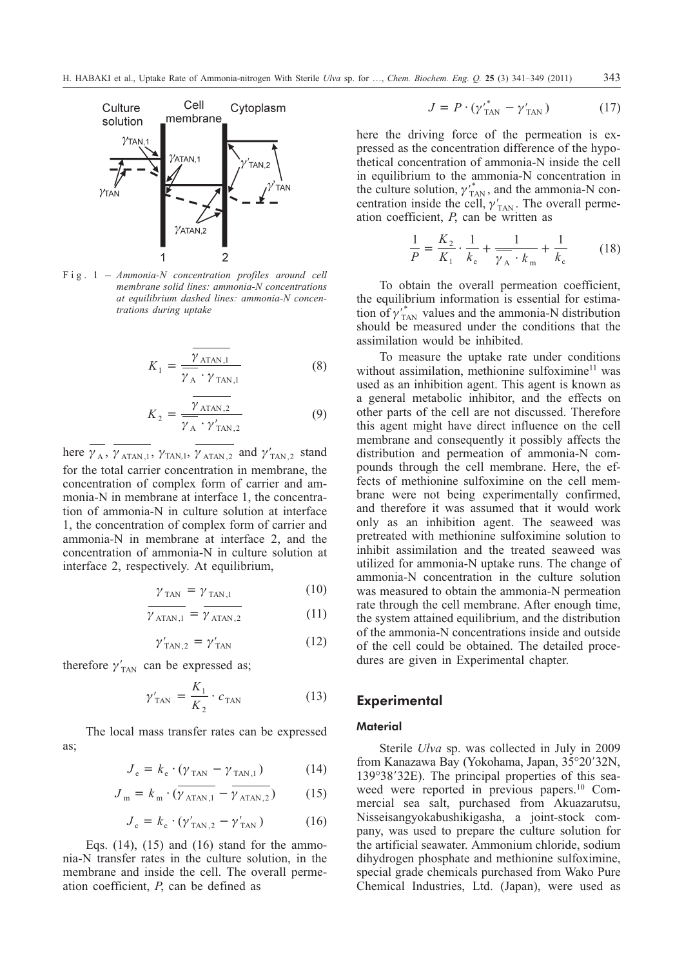

Fig. 1 – *Ammonia-N concentration profiles around cell membrane solid lines: ammonia-N concentrations at equilibrium dashed lines: ammonia-N concentrations during uptake*

$$
K_1 = \frac{\overline{\gamma_{\text{ATAN},1}}}{\gamma_{\text{A}} \cdot \gamma_{\text{TAN},1}}
$$
(8)

$$
K_2 = \frac{\overline{\gamma_{\text{ATAN},2}}}{\gamma_{\text{A}} \cdot \gamma_{\text{TAN},2}'} \tag{9}
$$

here  $\gamma_A$ ,  $\gamma_{ATAN,1}$ ,  $\gamma_{TAN,1}$ ,  $\gamma_{ATAN,2}$  and  $\gamma'_{TAN,2}$  stand for the total carrier concentration in membrane, the concentration of complex form of carrier and ammonia-N in membrane at interface 1, the concentration of ammonia-N in culture solution at interface 1, the concentration of complex form of carrier and ammonia-N in membrane at interface 2, and the concentration of ammonia-N in culture solution at interface 2, respectively. At equilibrium,

$$
\gamma_{\text{TAN}} = \gamma_{\text{TAN},1} \tag{10}
$$

$$
\overline{\gamma_{\text{ATAN},1}} = \overline{\gamma_{\text{ATAN},2}} \tag{11}
$$

$$
\gamma'_{\text{TAN},2} = \gamma'_{\text{TAN}} \tag{12}
$$

therefore  $\gamma'_{TAN}$  can be expressed as;

$$
\gamma'_{TAN} = \frac{K_1}{K_2} \cdot c_{TAN}
$$
 (13)

The local mass transfer rates can be expressed as;

$$
J_e = k_e \cdot (\gamma_{TAN} - \gamma_{TAN,1}) \tag{14}
$$

$$
J_{\rm m} = k_{\rm m} \cdot (\overline{\gamma_{\rm ATAN,1}} - \overline{\gamma_{\rm ATAN,2}}) \tag{15}
$$

$$
J_{\rm c} = k_{\rm c} \cdot (\gamma'_{\rm TAN,2} - \gamma'_{\rm TAN}) \tag{16}
$$

Eqs.  $(14)$ ,  $(15)$  and  $(16)$  stand for the ammonia-N transfer rates in the culture solution, in the membrane and inside the cell. The overall permeation coefficient, *P*, can be defined as

$$
J = P \cdot (\gamma'_{TAN}^* - \gamma'_{TAN}) \tag{17}
$$

here the driving force of the permeation is expressed as the concentration difference of the hypothetical concentration of ammonia-N inside the cell in equilibrium to the ammonia-N concentration in the culture solution,  $\gamma'_{\text{TAN}}$ , and the ammonia-N concentration inside the cell,  $\gamma'_{\text{TAN}}$ . The overall permeation coefficient, *P*, can be written as

$$
\frac{1}{P} = \frac{K_2}{K_1} \cdot \frac{1}{k_e} + \frac{1}{\gamma_A \cdot k_m} + \frac{1}{k_c} \tag{18}
$$

To obtain the overall permeation coefficient, the equilibrium information is essential for estimation of  $\gamma'_{\text{TAN}}$  values and the ammonia-N distribution should be measured under the conditions that the assimilation would be inhibited.

To measure the uptake rate under conditions without assimilation, methionine sulfoximine $11$  was used as an inhibition agent. This agent is known as a general metabolic inhibitor, and the effects on other parts of the cell are not discussed. Therefore this agent might have direct influence on the cell membrane and consequently it possibly affects the distribution and permeation of ammonia-N compounds through the cell membrane. Here, the effects of methionine sulfoximine on the cell membrane were not being experimentally confirmed, and therefore it was assumed that it would work only as an inhibition agent. The seaweed was pretreated with methionine sulfoximine solution to inhibit assimilation and the treated seaweed was utilized for ammonia-N uptake runs. The change of ammonia-N concentration in the culture solution was measured to obtain the ammonia-N permeation rate through the cell membrane. After enough time, the system attained equilibrium, and the distribution of the ammonia-N concentrations inside and outside of the cell could be obtained. The detailed procedures are given in Experimental chapter.

# **Experimental**

## **Material**

Sterile *Ulva* sp. was collected in July in 2009 from Kanazawa Bay (Yokohama, Japan, 35°20′32N, 139°38′32E). The principal properties of this seaweed were reported in previous papers.<sup>10</sup> Commercial sea salt, purchased from Akuazarutsu, Nisseisangyokabushikigasha, a joint-stock company, was used to prepare the culture solution for the artificial seawater. Ammonium chloride, sodium dihydrogen phosphate and methionine sulfoximine, special grade chemicals purchased from Wako Pure Chemical Industries, Ltd. (Japan), were used as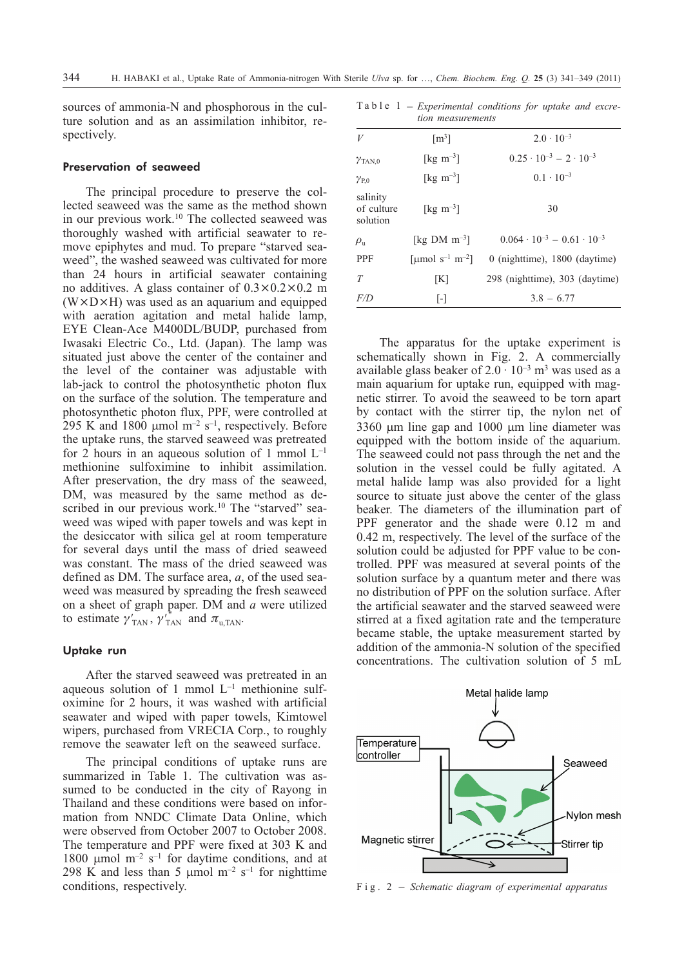sources of ammonia-N and phosphorous in the culture solution and as an assimilation inhibitor, respectively.

## Preservation of seaweed

The principal procedure to preserve the collected seaweed was the same as the method shown in our previous work.<sup>10</sup> The collected seaweed was thoroughly washed with artificial seawater to remove epiphytes and mud. To prepare "starved seaweed", the washed seaweed was cultivated for more than 24 hours in artificial seawater containing no additives. A glass container of  $0.3 \times 0.2 \times 0.2$  m  $(W \times D \times H)$  was used as an aquarium and equipped with aeration agitation and metal halide lamp, EYE Clean-Ace M400DL/BUDP, purchased from Iwasaki Electric Co., Ltd. (Japan). The lamp was situated just above the center of the container and the level of the container was adjustable with lab-jack to control the photosynthetic photon flux on the surface of the solution. The temperature and photosynthetic photon flux, PPF, were controlled at 295 K and 1800  $\mu$ mol m<sup>-2</sup> s<sup>-1</sup>, respectively. Before the uptake runs, the starved seaweed was pretreated for 2 hours in an aqueous solution of 1 mmol  $L^{-1}$ methionine sulfoximine to inhibit assimilation. After preservation, the dry mass of the seaweed, DM, was measured by the same method as described in our previous work.<sup>10</sup> The "starved" seaweed was wiped with paper towels and was kept in the desiccator with silica gel at room temperature for several days until the mass of dried seaweed was constant. The mass of the dried seaweed was defined as DM. The surface area, *a*, of the used seaweed was measured by spreading the fresh seaweed on a sheet of graph paper. DM and *a* were utilized to estimate  $\gamma'_{TAN}$ ,  $\gamma'^{*}_{TAN}$  and  $\pi_{u,TAN}$ .

## Uptake run

After the starved seaweed was pretreated in an aqueous solution of 1 mmol  $L^{-1}$  methionine sulfoximine for 2 hours, it was washed with artificial seawater and wiped with paper towels, Kimtowel wipers, purchased from VRECIA Corp., to roughly remove the seawater left on the seaweed surface.

The principal conditions of uptake runs are summarized in Table 1. The cultivation was assumed to be conducted in the city of Rayong in Thailand and these conditions were based on information from NNDC Climate Data Online, which were observed from October 2007 to October 2008. The temperature and PPF were fixed at 303 K and 1800  $\mu$ mol m<sup>-2</sup> s<sup>-1</sup> for daytime conditions, and at 298 K and less than 5  $\mu$ mol m<sup>-2</sup> s<sup>-1</sup> for nighttime conditions, respectively.

rile *Ulva* sp. for ..., *Chem. Biochem. Eng. Q.* **25** (3) 341–349 (2011)<br>Table 1 – *Experimental conditions for uptake and excretion measurements*

| V                                  | $\lceil m^3 \rceil$                     | $2.0 \cdot 10^{-3}$                        |
|------------------------------------|-----------------------------------------|--------------------------------------------|
| $\gamma_{\text{TAN,0}}$            | [ $kg \, \text{m}^{-3}$ ]               | $0.25 \cdot 10^{-3} - 2 \cdot 10^{-3}$     |
| $\gamma_{\rm P.0}$                 | [ $kg \, \text{m}^{-3}$ ]               | $0.1 \cdot 10^{-3}$                        |
| salinity<br>of culture<br>solution | $\lceil \text{kg m}^{-3} \rceil$        | 30                                         |
| $\rho_{\rm n}$                     | [kg DM $m^{-3}$ ]                       | $0.064 \cdot 10^{-3} - 0.61 \cdot 10^{-3}$ |
| <b>PPF</b>                         | [µmol s <sup>-1</sup> m <sup>-2</sup> ] | $0$ (nighttime), $1800$ (daytime)          |
| T                                  | [K]                                     | 298 (nighttime), 303 (daytime)             |
| F/D                                | $\lceil - \rceil$                       | $3.8 - 6.77$                               |
|                                    |                                         |                                            |

The apparatus for the uptake experiment is schematically shown in Fig. 2. A commercially available glass beaker of  $2.0 \cdot 10^{-3}$  m<sup>3</sup> was used as a main aquarium for uptake run, equipped with magnetic stirrer. To avoid the seaweed to be torn apart by contact with the stirrer tip, the nylon net of  $3360 \mu m$  line gap and  $1000 \mu m$  line diameter was equipped with the bottom inside of the aquarium. The seaweed could not pass through the net and the solution in the vessel could be fully agitated. A metal halide lamp was also provided for a light source to situate just above the center of the glass beaker. The diameters of the illumination part of PPF generator and the shade were 0.12 m and 0.42 m, respectively. The level of the surface of the solution could be adjusted for PPF value to be controlled. PPF was measured at several points of the solution surface by a quantum meter and there was no distribution of PPF on the solution surface. After the artificial seawater and the starved seaweed were stirred at a fixed agitation rate and the temperature became stable, the uptake measurement started by addition of the ammonia-N solution of the specified concentrations. The cultivation solution of 5 mL

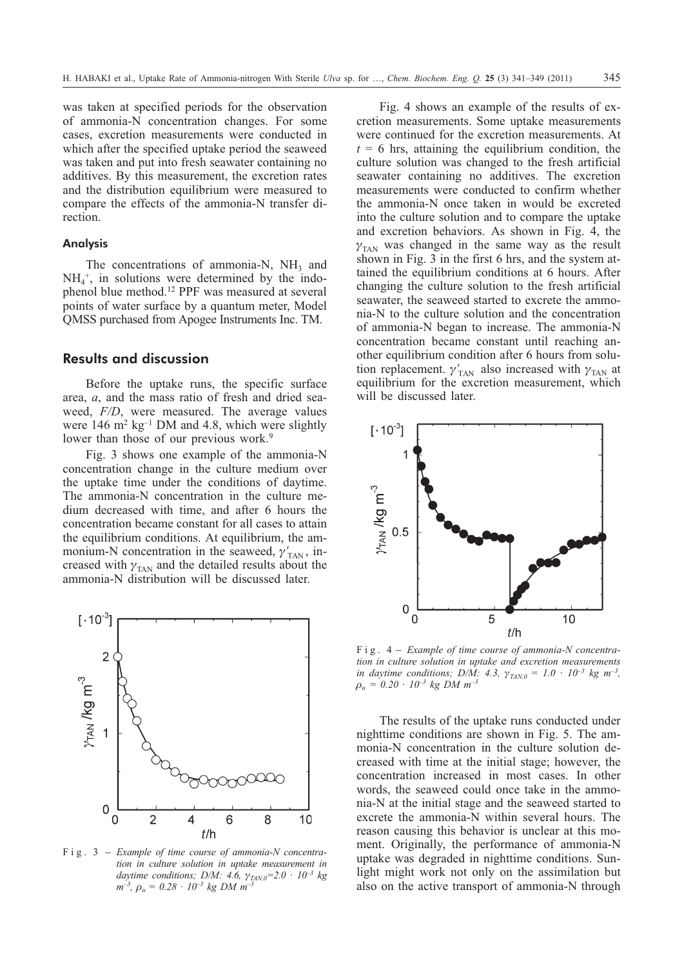was taken at specified periods for the observation of ammonia-N concentration changes. For some cases, excretion measurements were conducted in which after the specified uptake period the seaweed was taken and put into fresh seawater containing no additives. By this measurement, the excretion rates and the distribution equilibrium were measured to compare the effects of the ammonia-N transfer direction.

## Analysis

The concentrations of ammonia-N,  $NH<sub>3</sub>$  and  $NH<sub>4</sub>$ <sup>+</sup>, in solutions were determined by the indophenol blue method.12 PPF was measured at several points of water surface by a quantum meter, Model QMSS purchased from Apogee Instruments Inc. TM.

# **Results and discussion**

Before the uptake runs, the specific surface area, *a*, and the mass ratio of fresh and dried seaweed, *F/D*, were measured. The average values were  $146 \text{ m}^2 \text{ kg}^{-1}$  DM and 4.8, which were slightly lower than those of our previous work.<sup>9</sup>

Fig. 3 shows one example of the ammonia-N concentration change in the culture medium over the uptake time under the conditions of daytime. The ammonia-N concentration in the culture medium decreased with time, and after 6 hours the concentration became constant for all cases to attain the equilibrium conditions. At equilibrium, the ammonium-N concentration in the seaweed,  $\gamma'_{TAN}$ , increased with  $\gamma_{\text{TAN}}$  and the detailed results about the ammonia-N distribution will be discussed later.



*tion in culture solution in uptake measurement in daytime conditions; D/M: 4.6,*  $\gamma_{TAN,0} = 2.0 \cdot 10^{-3}$  *kg*  $m^{-3}$ ,  $\rho_u = 0.28 \cdot 10^{-3}$  kg DM  $m^{-3}$ 

Fig. 4 shows an example of the results of excretion measurements. Some uptake measurements were continued for the excretion measurements. At  $t = 6$  hrs, attaining the equilibrium condition, the culture solution was changed to the fresh artificial seawater containing no additives. The excretion measurements were conducted to confirm whether the ammonia-N once taken in would be excreted into the culture solution and to compare the uptake and excretion behaviors. As shown in Fig. 4, the  $\gamma_{\rm TAN}$  was changed in the same way as the result shown in Fig. 3 in the first 6 hrs, and the system attained the equilibrium conditions at 6 hours. After changing the culture solution to the fresh artificial seawater, the seaweed started to excrete the ammonia-N to the culture solution and the concentration of ammonia-N began to increase. The ammonia-N concentration became constant until reaching another equilibrium condition after 6 hours from solution replacement.  $\gamma'_{\text{TAN}}$  also increased with  $\gamma_{\text{TAN}}$  at equilibrium for the excretion measurement, which will be discussed later.



*tion in culture solution in uptake and excretion measurements in daytime conditions; D/M: 4.3,*  $\gamma_{TAN,0} = 1.0 \cdot 10^{-3}$  *kg m<sup>-3</sup>,*  $\rho_u = 0.20 \cdot 10^{-3}$  kg DM  $m^{-3}$ 

The results of the uptake runs conducted under nighttime conditions are shown in Fig. 5. The ammonia-N concentration in the culture solution decreased with time at the initial stage; however, the concentration increased in most cases. In other words, the seaweed could once take in the ammonia-N at the initial stage and the seaweed started to excrete the ammonia-N within several hours. The reason causing this behavior is unclear at this moment. Originally, the performance of ammonia-N uptake was degraded in nighttime conditions. Sunlight might work not only on the assimilation but also on the active transport of ammonia-N through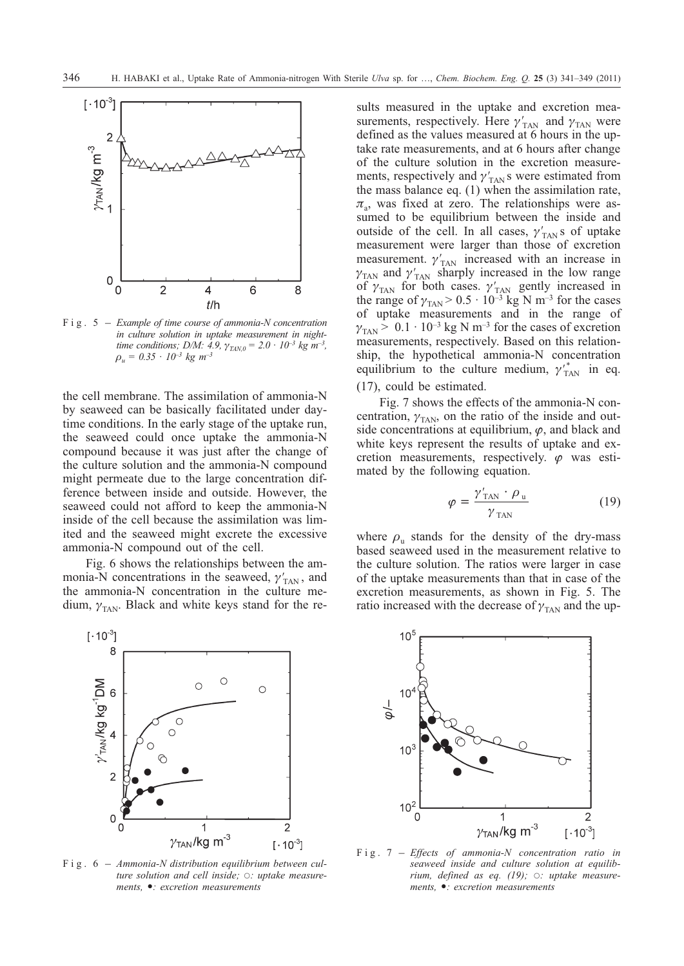

*in culture solution in uptake measurement in nighttime conditions; D/M: 4.9,*  $\gamma_{\text{ZAN},0} = 2.0 \cdot 10^{-3} \text{ kg m}^{-3}$ ,  $\rho_u = 0.35 \cdot 10^{-3} \text{ kg } m^{-3}$ 

the cell membrane. The assimilation of ammonia-N by seaweed can be basically facilitated under daytime conditions. In the early stage of the uptake run, the seaweed could once uptake the ammonia-N compound because it was just after the change of the culture solution and the ammonia-N compound might permeate due to the large concentration difference between inside and outside. However, the seaweed could not afford to keep the ammonia-N inside of the cell because the assimilation was limited and the seaweed might excrete the excessive ammonia-N compound out of the cell.

Fig. 6 shows the relationships between the ammonia-N concentrations in the seaweed,  $\gamma'_{TAN}$ , and the ammonia-N concentration in the culture medium,  $\gamma_{\text{TAN}}$ . Black and white keys stand for the re-



ture solution and cell inside;  $\circ$ : uptake measure*ments, : excretion measurements*

sults measured in the uptake and excretion measurements, respectively. Here  $\gamma'_{TAN}$  and  $\gamma_{TAN}$  were defined as the values measured at 6 hours in the uptake rate measurements, and at 6 hours after change of the culture solution in the excretion measurements, respectively and  $\gamma'_{TAN}$ s were estimated from the mass balance eq. (1) when the assimilation rate,  $\pi_a$ , was fixed at zero. The relationships were assumed to be equilibrium between the inside and outside of the cell. In all cases,  $\gamma'_{TAN}$ s of uptake measurement were larger than those of excretion measurement.  $\gamma'_{TAN}$  increased with an increase in  $\gamma_{\text{TAN}}$  and  $\gamma_{\text{TAN}}'$  sharply increased in the low range of  $\gamma_{\text{TAN}}$  for both cases.  $\gamma_{\text{TAN}}'$  gently increased in the range of  $\gamma_{\text{TAN}}$  > 0.5 · 10<sup>-3</sup> kg N m<sup>-3</sup> for the cases of uptake measurements and in the range of  $\gamma_{\text{TAN}}$  > 0.1 · 10<sup>-3</sup> kg N m<sup>-3</sup> for the cases of excretion measurements, respectively. Based on this relationship, the hypothetical ammonia-N concentration equilibrium to the culture medium,  $\gamma_{\text{TAN}}^*$  in eq. (17), could be estimated.

Fig. 7 shows the effects of the ammonia-N concentration,  $\gamma_{TAN}$ , on the ratio of the inside and outside concentrations at equilibrium,  $\varphi$ , and black and white keys represent the results of uptake and excretion measurements, respectively.  $\varphi$  was estimated by the following equation.

$$
\varphi = \frac{\gamma'_{\text{TAN}} \cdot \rho_{\text{u}}}{\gamma_{\text{TAN}}} \tag{19}
$$

where  $\rho_n$  stands for the density of the dry-mass based seaweed used in the measurement relative to the culture solution. The ratios were larger in case of the uptake measurements than that in case of the excretion measurements, as shown in Fig. 5. The ratio increased with the decrease of  $\gamma_{\text{TAN}}$  and the up-



*seaweed inside and culture solution at equilib*rium, defined as eq. (19);  $\circ$ : uptake measure*ments, : excretion measurements*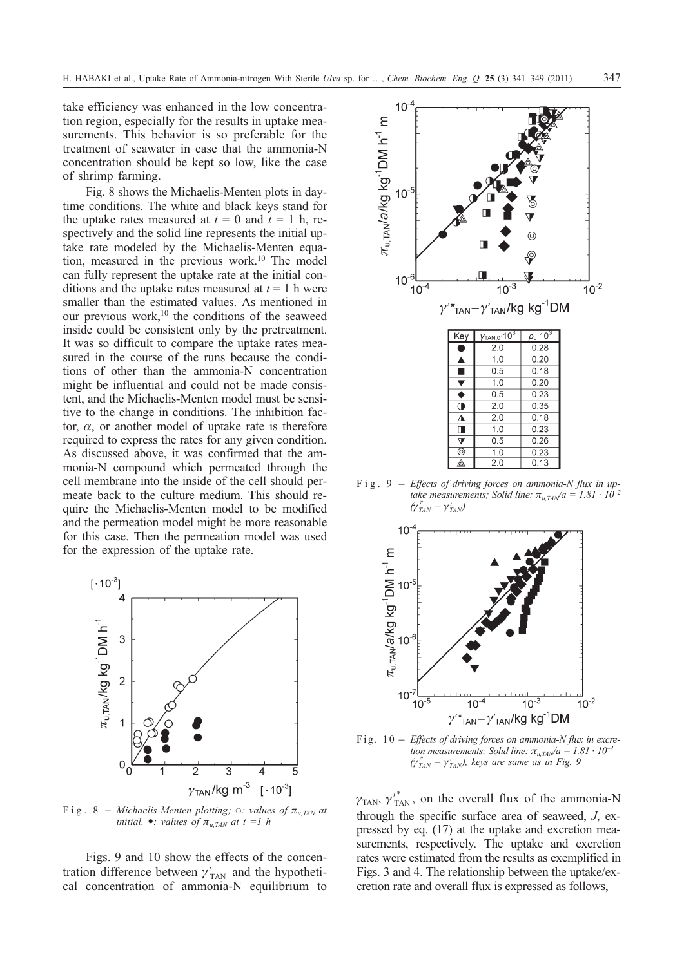take efficiency was enhanced in the low concentration region, especially for the results in uptake measurements. This behavior is so preferable for the treatment of seawater in case that the ammonia-N concentration should be kept so low, like the case of shrimp farming.

Fig. 8 shows the Michaelis-Menten plots in daytime conditions. The white and black keys stand for the uptake rates measured at  $t = 0$  and  $t = 1$  h, respectively and the solid line represents the initial uptake rate modeled by the Michaelis-Menten equation, measured in the previous work.10 The model can fully represent the uptake rate at the initial conditions and the uptake rates measured at  $t = 1$  h were smaller than the estimated values. As mentioned in our previous work,<sup>10</sup> the conditions of the seaweed inside could be consistent only by the pretreatment. It was so difficult to compare the uptake rates measured in the course of the runs because the conditions of other than the ammonia-N concentration might be influential and could not be made consistent, and the Michaelis-Menten model must be sensitive to the change in conditions. The inhibition factor,  $\alpha$ , or another model of uptake rate is therefore required to express the rates for any given condition. As discussed above, it was confirmed that the ammonia-N compound which permeated through the cell membrane into the inside of the cell should permeate back to the culture medium. This should require the Michaelis-Menten model to be modified and the permeation model might be more reasonable for this case. Then the permeation model was used for the expression of the uptake rate.



*initial,* •: *values of*  $\pi_{u,TAN}$  *at t =1 h* 

Figs. 9 and 10 show the effects of the concentration difference between  $\gamma'_{\text{TAN}}$  and the hypothetical concentration of ammonia-N equilibrium to



*take measurements; Solid line:*  $\pi_{u, TAN}/a = 1.81 \cdot 10^{-2}$  $(\gamma_{\mathit{TAN}}^{\ast} - \gamma_{\mathit{TAN}}^{\prime})$ 



*tion measurements; Solid line:*  $\pi_{u, TAN}/a = 1.81 \cdot 10^{-2}$  $(\gamma_{TAN}^* - \gamma_{TAN}^*)$ , keys are same as in Fig. 9

 $\gamma_{TAN}$ ,  ${\gamma'}_{TAN}^*$ , on the overall flux of the ammonia-N through the specific surface area of seaweed, *J*, expressed by eq. (17) at the uptake and excretion measurements, respectively. The uptake and excretion rates were estimated from the results as exemplified in Figs. 3 and 4. The relationship between the uptake/excretion rate and overall flux is expressed as follows,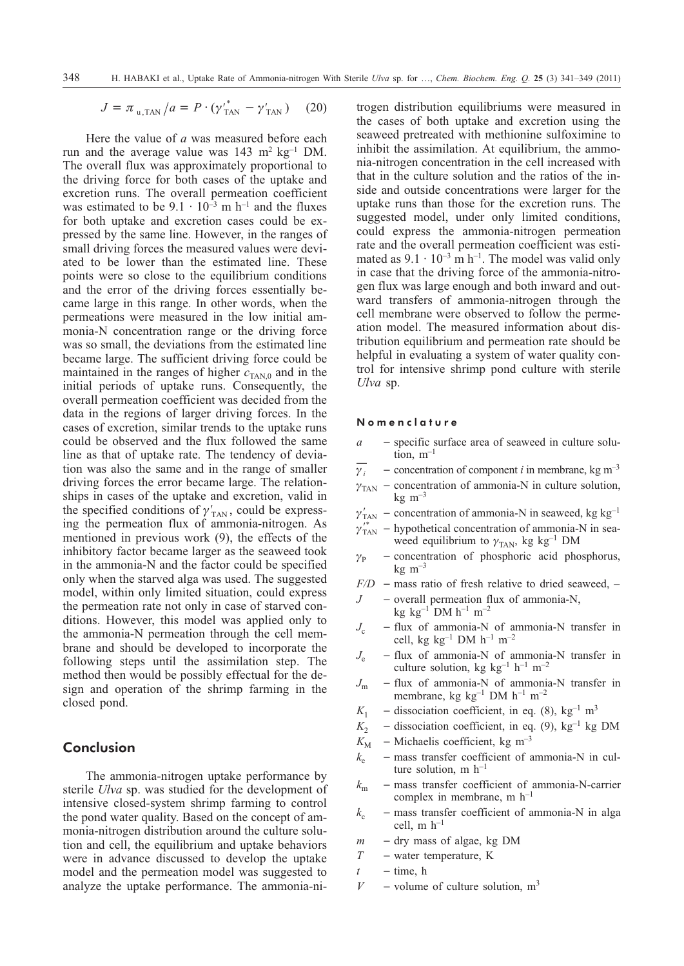$$
J = \pi_{\rm u, TAN} / a = P \cdot (\gamma_{\rm TAN}^{\prime^*} - \gamma_{\rm TAN}^{\prime}) \quad (20)
$$

Here the value of *a* was measured before each run and the average value was  $143 \text{ m}^2 \text{ kg}^{-1} \text{ DM}$ . The overall flux was approximately proportional to the driving force for both cases of the uptake and excretion runs. The overall permeation coefficient was estimated to be  $9.1 \cdot 10^{-3}$  m h<sup>-1</sup> and the fluxes for both uptake and excretion cases could be expressed by the same line. However, in the ranges of small driving forces the measured values were deviated to be lower than the estimated line. These points were so close to the equilibrium conditions and the error of the driving forces essentially became large in this range. In other words, when the permeations were measured in the low initial ammonia-N concentration range or the driving force was so small, the deviations from the estimated line became large. The sufficient driving force could be maintained in the ranges of higher  $c_{TAN,0}$  and in the initial periods of uptake runs. Consequently, the overall permeation coefficient was decided from the data in the regions of larger driving forces. In the cases of excretion, similar trends to the uptake runs could be observed and the flux followed the same line as that of uptake rate. The tendency of deviation was also the same and in the range of smaller driving forces the error became large. The relationships in cases of the uptake and excretion, valid in the specified conditions of  $\gamma'_{\text{TAN}}$ , could be expressing the permeation flux of ammonia-nitrogen. As mentioned in previous work (9), the effects of the inhibitory factor became larger as the seaweed took in the ammonia-N and the factor could be specified only when the starved alga was used. The suggested model, within only limited situation, could express the permeation rate not only in case of starved conditions. However, this model was applied only to the ammonia-N permeation through the cell membrane and should be developed to incorporate the following steps until the assimilation step. The method then would be possibly effectual for the design and operation of the shrimp farming in the closed pond.

# **Conclusion**

The ammonia-nitrogen uptake performance by sterile *Ulva* sp. was studied for the development of intensive closed-system shrimp farming to control the pond water quality. Based on the concept of ammonia-nitrogen distribution around the culture solution and cell, the equilibrium and uptake behaviors were in advance discussed to develop the uptake model and the permeation model was suggested to analyze the uptake performance. The ammonia-nitrogen distribution equilibriums were measured in the cases of both uptake and excretion using the seaweed pretreated with methionine sulfoximine to inhibit the assimilation. At equilibrium, the ammonia-nitrogen concentration in the cell increased with that in the culture solution and the ratios of the inside and outside concentrations were larger for the uptake runs than those for the excretion runs. The suggested model, under only limited conditions, could express the ammonia-nitrogen permeation rate and the overall permeation coefficient was estimated as  $9.1 \cdot 10^{-3}$  m h<sup>-1</sup>. The model was valid only in case that the driving force of the ammonia-nitrogen flux was large enough and both inward and outward transfers of ammonia-nitrogen through the cell membrane were observed to follow the permeation model. The measured information about distribution equilibrium and permeation rate should be helpful in evaluating a system of water quality control for intensive shrimp pond culture with sterile *Ulva* sp.

## Nomenclature

- *a* specific surface area of seaweed in culture solution,  $m^{-1}$
- $\gamma_i$  $\sim$  concentration of component *i* in membrane, kg m<sup>-3</sup>
- $\gamma_{\text{TAN}}$  concentration of ammonia-N in culture solution,  $kg \, \text{m}^{-3}$
- $\gamma'_{\text{TAN}}$  concentration of ammonia-N in seaweed, kg kg<sup>-1</sup>
- $\gamma_{\text{TAN}}^{'}$  hypothetical concentration of ammonia-N in seaweed equilibrium to  $\gamma_{\text{TAN}}$ , kg kg<sup>-1</sup> DM
- $\gamma_{\rm p}$ - concentration of phosphoric acid phosphorus,  $kg \, m^{-3}$
- $F/D$  mass ratio of fresh relative to dried seaweed, –
- $J$  overall permeation flux of ammonia-N, kg kg<sup>-1</sup> DM  $h^{-1}$  m<sup>-2</sup>
- $J_c$  flux of ammonia-N of ammonia-N transfer in cell, kg  $kg^{-1}$  DM  $h^{-1}$  m<sup>-2</sup>
- $J_e$  flux of ammonia-N of ammonia-N transfer in culture solution, kg kg<sup>-1</sup> h<sup>-1</sup> m<sup>-2</sup>
- $J<sub>m</sub>$  flux of ammonia-N of ammonia-N transfer in membrane, kg kg<sup>-1</sup> DM  $h^{-1}$  m<sup>-2</sup>
- $K_1$  dissociation coefficient, in eq. (8), kg<sup>-1</sup> m<sup>3</sup>
- $K_2$  dissociation coefficient, in eq. (9), kg<sup>-1</sup> kg DM
- $K_{\text{M}}$  Michaelis coefficient, kg m<sup>-3</sup>
- $k_e$  mass transfer coefficient of ammonia-N in culture solution, m  $h^{-1}$
- $k_{\rm m}$  mass transfer coefficient of ammonia-N-carrier complex in membrane, m h–1
- $k_c$  mass transfer coefficient of ammonia-N in alga cell,  $m h^{-1}$
- $m$  dry mass of algae, kg DM
- *T* water temperature, K
- $t -$ time, h
- $V$  volume of culture solution,  $m<sup>3</sup>$